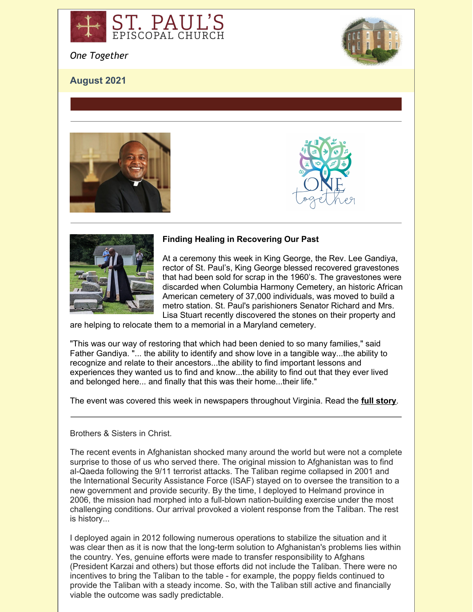

*One Together*

# **August 2021**









## **Finding Healing in Recovering Our Past**

At a ceremony this week in King George, the Rev. Lee Gandiya, rector of St. Paul's, King George blessed recovered gravestones that had been sold for scrap in the 1960's. The gravestones were discarded when Columbia Harmony Cemetery, an historic African American cemetery of 37,000 individuals, was moved to build a metro station. St. Paul's parishioners Senator Richard and Mrs. Lisa Stuart recently discovered the stones on their property and

are helping to relocate them to a memorial in a Maryland cemetery.

"This was our way of restoring that which had been denied to so many families," said Father Gandiya. "... the ability to identify and show love in a tangible way...the ability to recognize and relate to their ancestors...the ability to find important lessons and experiences they wanted us to find and know...the ability to find out that they ever lived and belonged here... and finally that this was their home...their life."

The event was covered this week in newspapers throughout Virginia. Read the **full [story](https://r20.rs6.net/tn.jsp?f=001hElXQxoXj4MMa9yXnoUSGmZgDaxhtRXLUujYuav6pp43K2uL83aLILGaLYJmvdmcZkJq72NIc_-9GhbEIEVgYDv-J6ZvuJycbXbvGoxTHGMR5Egf5Rg95herq9b4dEjEdLYZJ2Vv4Y1XLrWZFk9se3HXgQh4_FoWAX0UGoBcydGVyuviIW5y2v8Erz-Yu9ry9dJlqdTDVF-AyDMMF0i1ZCzgy6tc6xOkGRvThgI4WK6Q1iq7oJr9bg2tAxUhSbEyG20izgXCI1EPj-QqkL4z6H1RQ5EB36uuI9G2QxH0B7gOUJ3-uJ3QCEd9DKm9W3OW6RzEyKTsiFrpHYUNluIuaTTLTGqY2p-MefWBHBwRzRdAKhDw5a9VEWR--df2hut3xLcMMlMCKRzh30MAVSwFy8Jg21SXY3P27IM0KmCfNCUxTDrvOB-DLg==&c=3IfurbBfPA0XhxKcHo-Ae5TZ2FqsTOTmhnphXYDo6c-C_-cpcFqH4g==&ch=HQFUtQFqhA9M36AlacZzszJyDKGhBt8G2CklvPAetT9ZS9XKtBsiMQ==)**.

### Brothers & Sisters in Christ.

The recent events in Afghanistan shocked many around the world but were not a complete surprise to those of us who served there. The original mission to Afghanistan was to find al-Qaeda following the 9/11 terrorist attacks. The Taliban regime collapsed in 2001 and the International Security Assistance Force (ISAF) stayed on to oversee the transition to a new government and provide security. By the time, I deployed to Helmand province in 2006, the mission had morphed into a full-blown nation-building exercise under the most challenging conditions. Our arrival provoked a violent response from the Taliban. The rest is history...

I deployed again in 2012 following numerous operations to stabilize the situation and it was clear then as it is now that the long-term solution to Afghanistan's problems lies within the country. Yes, genuine efforts were made to transfer responsibility to Afghans (President Karzai and others) but those efforts did not include the Taliban. There were no incentives to bring the Taliban to the table - for example, the poppy fields continued to provide the Taliban with a steady income. So, with the Taliban still active and financially viable the outcome was sadly predictable.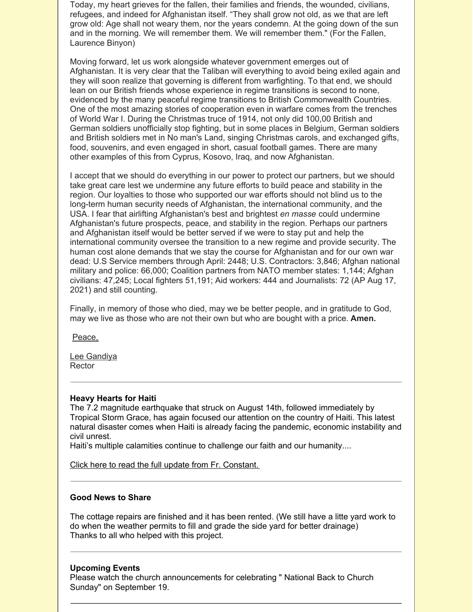Today, my heart grieves for the fallen, their families and friends, the wounded, civilians, refugees, and indeed for Afghanistan itself. "They shall grow not old, as we that are left grow old: Age shall not weary them, nor the years condemn. At the going down of the sun and in the morning. We will remember them. We will remember them." (For the Fallen, Laurence Binyon)

Moving forward, let us work alongside whatever government emerges out of Afghanistan. It is very clear that the Taliban will everything to avoid being exiled again and they will soon realize that governing is different from warfighting. To that end, we should lean on our British friends whose experience in regime transitions is second to none, evidenced by the many peaceful regime transitions to British Commonwealth Countries. One of the most amazing stories of cooperation even in warfare comes from the trenches of World War I. During the Christmas truce of 1914, not only did 100,00 British and German soldiers unofficially stop fighting, but in some places in Belgium, German soldiers and British soldiers met in No man's Land, singing Christmas carols, and exchanged gifts, food, souvenirs, and even engaged in short, casual football games. There are many other examples of this from Cyprus, Kosovo, Iraq, and now Afghanistan.

I accept that we should do everything in our power to protect our partners, but we should take great care lest we undermine any future efforts to build peace and stability in the region. Our loyalties to those who supported our war efforts should not blind us to the long-term human security needs of Afghanistan, the international community, and the USA. I fear that airlifting Afghanistan's best and brightest *en masse* could undermine Afghanistan's future prospects, peace, and stability in the region. Perhaps our partners and Afghanistan itself would be better served if we were to stay put and help the international community oversee the transition to a new regime and provide security. The human cost alone demands that we stay the course for Afghanistan and for our own war dead: U.S Service members through April: 2448; U.S. Contractors: 3,846; Afghan national military and police: 66,000; Coalition partners from NATO member states: 1,144; Afghan civilians: 47,245; Local fighters 51,191; Aid workers: 444 and Journalists: 72 (AP Aug 17, 2021) and still counting.

Finally, in memory of those who died, may we be better people, and in gratitude to God, may we live as those who are not their own but who are bought with a price. **Amen.**

Peace,

Lee Gandiya **Rector** 

#### **Heavy Hearts for Haiti**

The 7.2 magnitude earthquake that struck on August 14th, followed immediately by Tropical Storm Grace, has again focused our attention on the country of Haiti. This latest natural disaster comes when Haiti is already facing the pandemic, economic instability and civil unrest.

Haiti's multiple calamities continue to challenge our faith and our humanity....

Click here to read the full update from Fr. [Constant.](https://haiti-micah.us3.list-manage.com/track/click?u=058e092696e2ad78259d7c602&id=563970c945&e=cf70d0a6bc)

### **Good News to Share**

The cottage repairs are finished and it has been rented. (We still have a litte yard work to do when the weather permits to fill and grade the side yard for better drainage) Thanks to all who helped with this project.

#### **Upcoming Events**

Please watch the church announcements for celebrating " National Back to Church Sunday" on September 19.